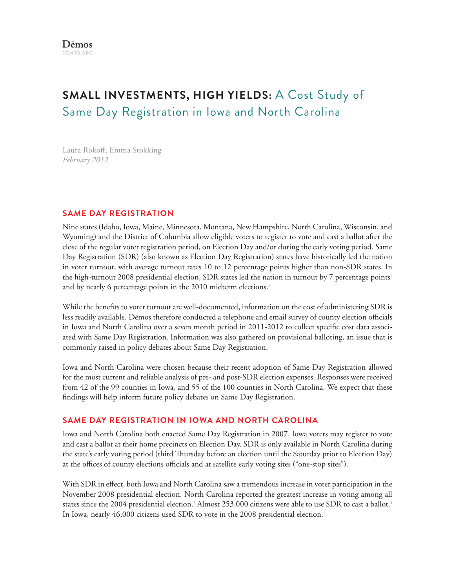# **Small Investments, High Yields:** A Cost Study of Same Day Registration in Iowa and North Carolina

Laura Rokoff, Emma Stokking *February 2012*

### **Same Day Registration**

Nine states (Idaho, Iowa, Maine, Minnesota, Montana, New Hampshire, North Carolina, Wisconsin, and Wyoming) and the District of Columbia allow eligible voters to register to vote and cast a ballot after the close of the regular voter registration period, on Election Day and/or during the early voting period. Same Day Registration (SDR) (also known as Election Day Registration) states have historically led the nation in voter turnout, with average turnout rates 10 to 12 percentage points higher than non-SDR states. In the high-turnout 2008 presidential election, SDR states led the nation in turnout by 7 percentage points<sup>1</sup> and by nearly 6 percentage points in the 2010 midterm elections.<sup>2</sup>

While the benefits to voter turnout are well-documented, information on the cost of administering SDR is less readily available. Dēmos therefore conducted a telephone and email survey of county election officials in Iowa and North Carolina over a seven month period in 2011-2012 to collect specific cost data associated with Same Day Registration. Information was also gathered on provisional balloting, an issue that is commonly raised in policy debates about Same Day Registration.

Iowa and North Carolina were chosen because their recent adoption of Same Day Registration allowed for the most current and reliable analysis of pre- and post-SDR election expenses. Responses were received from 42 of the 99 counties in Iowa, and 55 of the 100 counties in North Carolina. We expect that these findings will help inform future policy debates on Same Day Registration.

## **Same Day Registration in Iowa and North Carolina**

Iowa and North Carolina both enacted Same Day Registration in 2007. Iowa voters may register to vote and cast a ballot at their home precincts on Election Day. SDR is only available in North Carolina during the state's early voting period (third Thursday before an election until the Saturday prior to Election Day) at the offices of county elections officials and at satellite early voting sites ("one-stop sites").

With SDR in effect, both Iowa and North Carolina saw a tremendous increase in voter participation in the November 2008 presidential election. North Carolina reported the greatest increase in voting among all states since the 2004 presidential election.<sup>3</sup> Almost 253,000 citizens were able to use SDR to cast a ballot.<sup>4</sup> In Iowa, nearly 46,000 citizens used SDR to vote in the 2008 presidential election. 5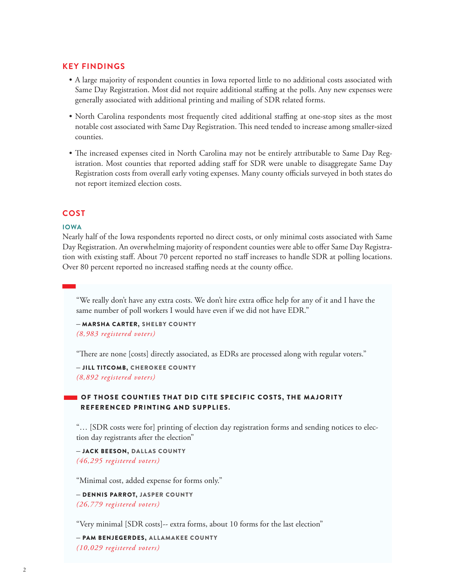#### **Key Findings**

- • A large majority of respondent counties in Iowa reported little to no additional costs associated with Same Day Registration. Most did not require additional staffing at the polls. Any new expenses were generally associated with additional printing and mailing of SDR related forms.
- North Carolina respondents most frequently cited additional staffing at one-stop sites as the most notable cost associated with Same Day Registration. This need tended to increase among smaller-sized counties.
- The increased expenses cited in North Carolina may not be entirely attributable to Same Day Registration. Most counties that reported adding staff for SDR were unable to disaggregate Same Day Registration costs from overall early voting expenses. Many county officials surveyed in both states do not report itemized election costs.

#### **Cost**

#### **Iowa**

Nearly half of the Iowa respondents reported no direct costs, or only minimal costs associated with Same Day Registration. An overwhelming majority of respondent counties were able to offer Same Day Registration with existing staff. About 70 percent reported no staff increases to handle SDR at polling locations. Over 80 percent reported no increased staffing needs at the county office.

"We really don't have any extra costs. We don't hire extra office help for any of it and I have the same number of poll workers I would have even if we did not have EDR."

– Marsha Carter, Shelby County *(8,983 registered voters)*

"There are none [costs] directly associated, as EDRs are processed along with regular voters."

– Jill Titcomb, Cherokee County *(8,892 registered voters)*

#### **OF THOSE COUNTIES THAT DID CITE SPECIFIC COSTS, THE MAJORITY** referenced printing and supplies.

"… [SDR costs were for] printing of election day registration forms and sending notices to election day registrants after the election"

– Jack Beeson, Dallas County *(46,295 registered voters)*

"Minimal cost, added expense for forms only."

– Dennis Parrot, Jasper County *(26,779 registered voters)*

"Very minimal [SDR costs]-- extra forms, about 10 forms for the last election"

– Pam Benjegerdes, Allamakee Count y *(10,029 registered voters)*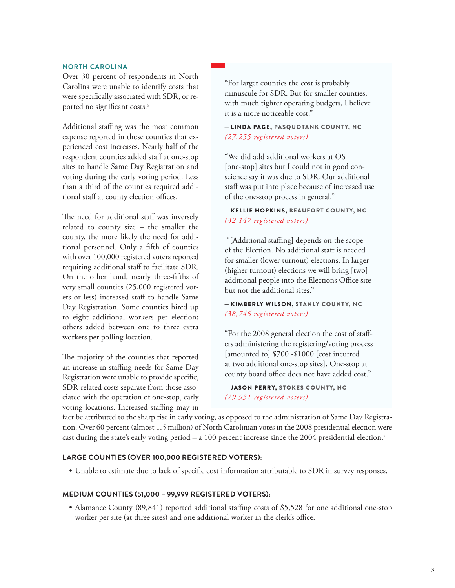#### **North Carolina**

Over 30 percent of respondents in North Carolina were unable to identify costs that were specifically associated with SDR, or reported no significant costs.<sup>6</sup>

Additional staffing was the most common expense reported in those counties that experienced cost increases. Nearly half of the respondent counties added staff at one-stop sites to handle Same Day Registration and voting during the early voting period. Less than a third of the counties required additional staff at county election offices.

The need for additional staff was inversely related to county size – the smaller the county, the more likely the need for additional personnel. Only a fifth of counties with over 100,000 registered voters reported requiring additional staff to facilitate SDR. On the other hand, nearly three-fifths of very small counties (25,000 registered voters or less) increased staff to handle Same Day Registration. Some counties hired up to eight additional workers per election; others added between one to three extra workers per polling location.

The majority of the counties that reported an increase in staffing needs for Same Day Registration were unable to provide specific, SDR-related costs separate from those associated with the operation of one-stop, early voting locations. Increased staffing may in "For larger counties the cost is probably minuscule for SDR. But for smaller counties, with much tighter operating budgets, I believe it is a more noticeable cost."

#### – Linda Page, Pasquotank County, NC *(27,255 registered voters)*

"We did add additional workers at OS [one-stop] sites but I could not in good conscience say it was due to SDR. Our additional staff was put into place because of increased use of the one-stop process in general."

#### – Kellie Hopkins, Beaufort County, NC *(32,147 registered voters)*

 "[Additional staffing] depends on the scope of the Election. No additional staff is needed for smaller (lower turnout) elections. In larger (higher turnout) elections we will bring [two] additional people into the Elections Office site but not the additional sites."

#### – Kimberly Wilson, Stanly County, NC *(38,746 registered voters)*

"For the 2008 general election the cost of staffers administering the registering/voting process [amounted to] \$700 -\$1000 [cost incurred at two additional one-stop sites]. One-stop at county board office does not have added cost."

– Jason Perry, Stokes County, NC *(29,931 registered voters)*

fact be attributed to the sharp rise in early voting, as opposed to the administration of Same Day Registration. Over 60 percent (almost 1.5 million) of North Carolinian votes in the 2008 presidential election were cast during the state's early voting period – a 100 percent increase since the 2004 presidential election. 7

#### **Large counties (over 100,000 registered voters):**

• Unable to estimate due to lack of specific cost information attributable to SDR in survey responses.

#### **Medium counties (51,000 – 99,999 registered voters):**

• Alamance County (89,841) reported additional staffing costs of \$5,528 for one additional one-stop worker per site (at three sites) and one additional worker in the clerk's office.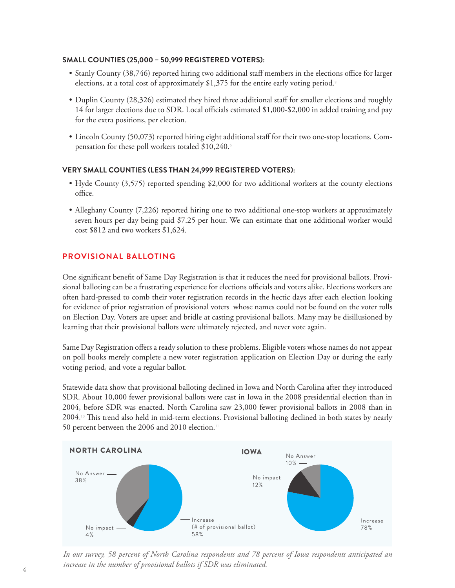#### **Small counties (25,000 – 50,999 registered voters):**

- Stanly County (38,746) reported hiring two additional staff members in the elections office for larger elections, at a total cost of approximately  $$1,375$  for the entire early voting period.<sup>8</sup>
- • Duplin County (28,326) estimated they hired three additional staff for smaller elections and roughly 14 for larger elections due to SDR. Local officials estimated \$1,000-\$2,000 in added training and pay for the extra positions, per election.
- • Lincoln County (50,073) reported hiring eight additional staff for their two one-stop locations. Compensation for these poll workers totaled \$10,240.9

#### **Very Small counties (less than 24,999 registered voters):**

- Hyde County (3,575) reported spending \$2,000 for two additional workers at the county elections office.
- Alleghany County (7,226) reported hiring one to two additional one-stop workers at approximately seven hours per day being paid \$7.25 per hour. We can estimate that one additional worker would cost \$812 and two workers \$1,624.

#### **Provisional Balloting**

One significant benefit of Same Day Registration is that it reduces the need for provisional ballots. Provisional balloting can be a frustrating experience for elections officials and voters alike. Elections workers are often hard-pressed to comb their voter registration records in the hectic days after each election looking for evidence of prior registration of provisional voters whose names could not be found on the voter rolls on Election Day. Voters are upset and bridle at casting provisional ballots. Many may be disillusioned by learning that their provisional ballots were ultimately rejected, and never vote again.

Same Day Registration offers a ready solution to these problems. Eligible voters whose names do not appear on poll books merely complete a new voter registration application on Election Day or during the early voting period, and vote a regular ballot.

Statewide data show that provisional balloting declined in Iowa and North Carolina after they introduced SDR. About 10,000 fewer provisional ballots were cast in Iowa in the 2008 presidential election than in 2004, before SDR was enacted. North Carolina saw 23,000 fewer provisional ballots in 2008 than in 2004.10 This trend also held in mid-term elections. Provisional balloting declined in both states by nearly 50 percent between the 2006 and 2010 election.<sup>11</sup>



*In our survey, 58 percent of North Carolina respondents and 78 percent of Iowa respondents anticipated an increase in the number of provisional ballots if SDR was eliminated.*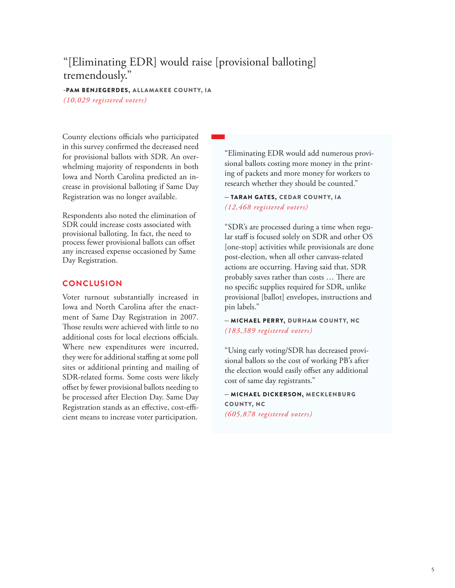## "[Eliminating EDR] would raise [provisional balloting] tremendously."

## -Pam Benjegerdes, Allamakee County, IA

*(10,029 registered voters)*

County elections officials who participated in this survey confirmed the decreased need for provisional ballots with SDR. An overwhelming majority of respondents in both Iowa and North Carolina predicted an increase in provisional balloting if Same Day Registration was no longer available.

Respondents also noted the elimination of SDR could increase costs associated with provisional balloting. In fact, the need to process fewer provisional ballots can offset any increased expense occasioned by Same Day Registration.

#### **Conclusion**

Voter turnout substantially increased in Iowa and North Carolina after the enactment of Same Day Registration in 2007. Those results were achieved with little to no additional costs for local elections officials. Where new expenditures were incurred, they were for additional staffing at some poll sites or additional printing and mailing of SDR-related forms. Some costs were likely offset by fewer provisional ballots needing to be processed after Election Day. Same Day Registration stands as an effective, cost-efficient means to increase voter participation.

"Eliminating EDR would add numerous provisional ballots costing more money in the printing of packets and more money for workers to research whether they should be counted."

– Tarah Gates, Cedar County, IA *(12,468 registered voters)*

"SDR's are processed during a time when regular staff is focused solely on SDR and other OS [one-stop] activities while provisionals are done post-election, when all other canvass-related actions are occurring. Having said that, SDR probably saves rather than costs … There are no specific supplies required for SDR, unlike provisional [ballot] envelopes, instructions and pin labels."

– Michael Perry, Durham County, NC *(183,389 registered voters)*

"Using early voting/SDR has decreased provisional ballots so the cost of working PB's after the election would easily offset any additional cost of same day registrants."

– Michael dickerson, Mecklenburg County, NC *(605,878 registered voters)*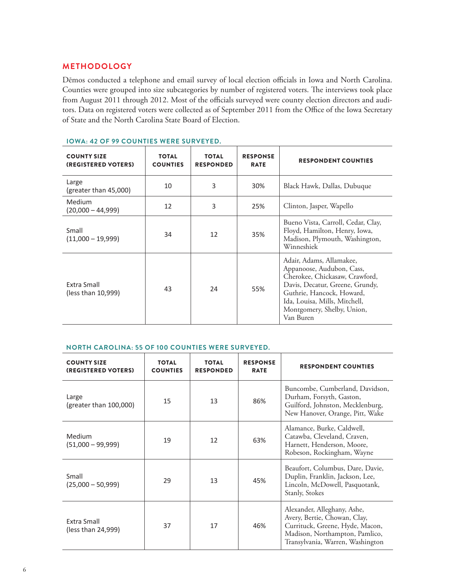#### **Methodology**

Dēmos conducted a telephone and email survey of local election officials in Iowa and North Carolina. Counties were grouped into size subcategories by number of registered voters. The interviews took place from August 2011 through 2012. Most of the officials surveyed were county election directors and auditors. Data on registered voters were collected as of September 2011 from the Office of the Iowa Secretary of State and the North Carolina State Board of Election.

| <b>COUNTY SIZE</b><br>(REGISTERED VOTERS) | <b>TOTAL</b><br><b>COUNTIES</b> | <b>TOTAL</b><br><b>RESPONDED</b> | <b>RESPONSE</b><br><b>RATE</b> | <b>RESPONDENT COUNTIES</b>                                                                                                                                                                                                          |
|-------------------------------------------|---------------------------------|----------------------------------|--------------------------------|-------------------------------------------------------------------------------------------------------------------------------------------------------------------------------------------------------------------------------------|
| Large<br>(greater than 45,000)            | 10                              | 3                                | 30%                            | Black Hawk, Dallas, Dubuque                                                                                                                                                                                                         |
| Medium<br>$(20,000 - 44,999)$             | 12                              | 3                                | 25%                            | Clinton, Jasper, Wapello                                                                                                                                                                                                            |
| Small<br>$(11,000 - 19,999)$              | 34                              | 12                               | 35%                            | Bueno Vista, Carroll, Cedar, Clay,<br>Floyd, Hamilton, Henry, Iowa,<br>Madison, Plymouth, Washington,<br>Winneshiek                                                                                                                 |
| Extra Small<br>(less than 10,999)         | 43                              | 24                               | 55%                            | Adair, Adams, Allamakee,<br>Appanoose, Audubon, Cass,<br>Cherokee, Chickasaw, Crawford,<br>Davis, Decatur, Greene, Grundy,<br>Guthrie, Hancock, Howard,<br>Ida, Louisa, Mills, Mitchell,<br>Montgomery, Shelby, Union,<br>Van Buren |

#### **Iowa: 42 of 99 counties were surveyed.**

#### **North Carolina: 55 of 100 counties were surveyed.**

| <b>COUNTY SIZE</b><br>(REGISTERED VOTERS) | <b>TOTAL</b><br><b>COUNTIES</b> | <b>TOTAL</b><br><b>RESPONDED</b> | <b>RESPONSE</b><br><b>RATE</b> | <b>RESPONDENT COUNTIES</b>                                                                                                                                           |
|-------------------------------------------|---------------------------------|----------------------------------|--------------------------------|----------------------------------------------------------------------------------------------------------------------------------------------------------------------|
| Large<br>(greater than 100,000)           | 15                              | 13                               | 86%                            | Buncombe, Cumberland, Davidson,<br>Durham, Forsyth, Gaston,<br>Guilford, Johnston, Mecklenburg,<br>New Hanover, Orange, Pitt, Wake                                   |
| Medium<br>$(51,000 - 99,999)$             | 19                              | 12                               | 63%                            | Alamance, Burke, Caldwell,<br>Catawba, Cleveland, Craven,<br>Harnett, Henderson, Moore,<br>Robeson, Rockingham, Wayne                                                |
| Small<br>$(25,000 - 50,999)$              | 29                              | 13                               | 45%                            | Beaufort, Columbus, Dare, Davie,<br>Duplin, Franklin, Jackson, Lee,<br>Lincoln, McDowell, Pasquotank,<br>Stanly, Stokes                                              |
| Extra Small<br>(less than 24,999)         | 37                              | 17                               | 46%                            | Alexander, Alleghany, Ashe,<br>Avery, Bertie, Chowan, Clay,<br>Currituck, Greene, Hyde, Macon,<br>Madison, Northampton, Pamlico,<br>Transylvania, Warren, Washington |